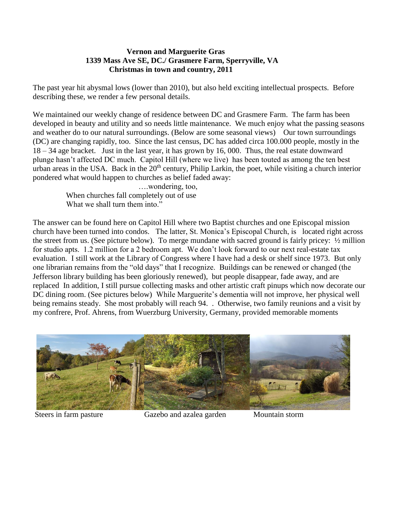## **Vernon and Marguerite Gras 1339 Mass Ave SE, DC./ Grasmere Farm, Sperryville, VA Christmas in town and country, 2011**

The past year hit abysmal lows (lower than 2010), but also held exciting intellectual prospects. Before describing these, we render a few personal details.

We maintained our weekly change of residence between DC and Grasmere Farm. The farm has been developed in beauty and utility and so needs little maintenance. We much enjoy what the passing seasons and weather do to our natural surroundings. (Below are some seasonal views) Our town surroundings (DC) are changing rapidly, too. Since the last census, DC has added circa 100.000 people, mostly in the 18 – 34 age bracket. Just in the last year, it has grown by 16, 000. Thus, the real estate downward plunge hasn't affected DC much. Capitol Hill (where we live) has been touted as among the ten best urban areas in the USA. Back in the  $20<sup>th</sup>$  century, Philip Larkin, the poet, while visiting a church interior pondered what would happen to churches as belief faded away:

> ….wondering, too, When churches fall completely out of use What we shall turn them into."

The answer can be found here on Capitol Hill where two Baptist churches and one Episcopal mission church have been turned into condos. The latter, St. Monica's Episcopal Church, is located right across the street from us. (See picture below). To merge mundane with sacred ground is fairly pricey: ½ million for studio apts. 1.2 million for a 2 bedroom apt. We don't look forward to our next real-estate tax evaluation. I still work at the Library of Congress where I have had a desk or shelf since 1973. But only one librarian remains from the "old days" that I recognize. Buildings can be renewed or changed (the Jefferson library building has been gloriously renewed), but people disappear, fade away, and are replaced In addition, I still pursue collecting masks and other artistic craft pinups which now decorate our DC dining room. (See pictures below) While Marguerite's dementia will not improve, her physical well being remains steady. She most probably will reach 94. . Otherwise, two family reunions and a visit by my confrere, Prof. Ahrens, from Wuerzburg University, Germany, provided memorable moments



Steers in farm pasture Gazebo and azalea garden Mountain storm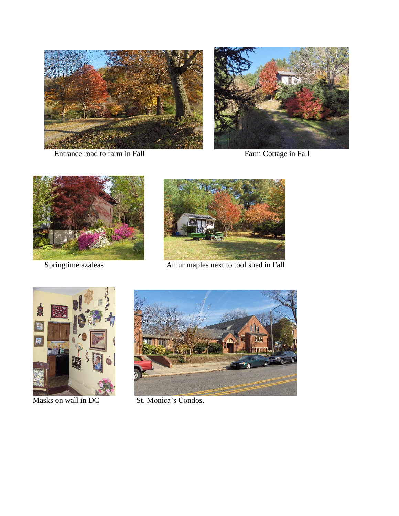



Entrance road to farm in Fall Farm Cottage in Fall





Springtime azaleas Amur maples next to tool shed in Fall





Masks on wall in DC St. Monica's Condos.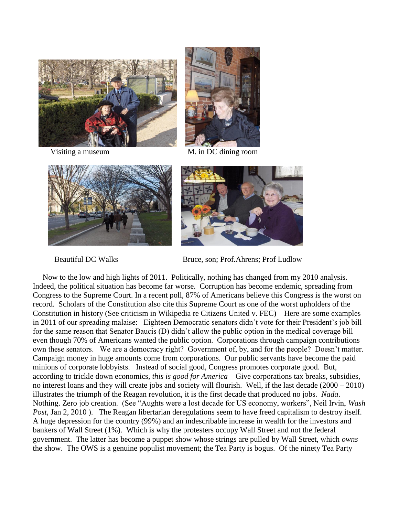



Visiting a museum M. in DC dining room





Beautiful DC Walks Bruce, son; Prof.Ahrens; Prof Ludlow

 Now to the low and high lights of 2011. Politically, nothing has changed from my 2010 analysis. Indeed, the political situation has become far worse. Corruption has become endemic, spreading from Congress to the Supreme Court. In a recent poll, 87% of Americans believe this Congress is the worst on record. Scholars of the Constitution also cite this Supreme Court as one of the worst upholders of the Constitution in history (See criticism in Wikipedia re Citizens United v. FEC) Here are some examples in 2011 of our spreading malaise: Eighteen Democratic senators didn't vote for their President's job bill for the same reason that Senator Baucis (D) didn't allow the public option in the medical coverage bill even though 70% of Americans wanted the public option. Corporations through campaign contributions own these senators. We are a democracy right? Government of, by, and for the people? Doesn't matter. Campaign money in huge amounts come from corporations. Our public servants have become the paid minions of corporate lobbyists. Instead of social good, Congress promotes corporate good. But, according to trickle down economics*, this is good for America* Give corporations tax breaks, subsidies, no interest loans and they will create jobs and society will flourish. Well, if the last decade (2000 – 2010) illustrates the triumph of the Reagan revolution, it is the first decade that produced no jobs*. Nada*. Nothing. Zero job creation.(See "Aughts were a lost decade for US economy, workers", Neil Irvin, *Wash Post*, Jan 2, 2010 ). The Reagan libertarian deregulations seem to have freed capitalism to destroy itself. A huge depression for the country (99%) and an indescribable increase in wealth for the investors and bankers of Wall Street (1%). Which is why the protesters occupy Wall Street and not the federal government. The latter has become a puppet show whose strings are pulled by Wall Street, which *owns* the show. The OWS is a genuine populist movement; the Tea Party is bogus. Of the ninety Tea Party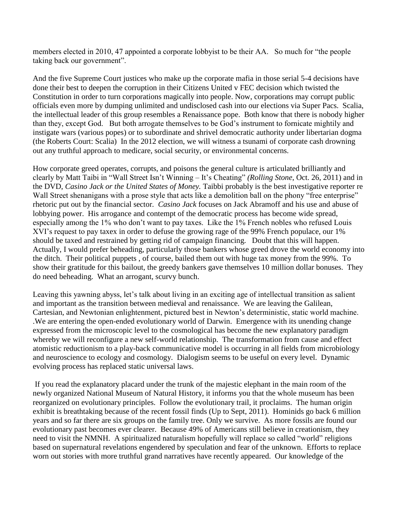members elected in 2010, 47 appointed a corporate lobbyist to be their AA. So much for "the people taking back our government".

And the five Supreme Court justices who make up the corporate mafia in those serial 5-4 decisions have done their best to deepen the corruption in their Citizens United v FEC decision which twisted the Constitution in order to turn corporations magically into people. Now, corporations may corrupt public officials even more by dumping unlimited and undisclosed cash into our elections via Super Pacs. Scalia, the intellectual leader of this group resembles a Renaissance pope. Both know that there is nobody higher than they, except God. But both arrogate themselves to be God's instrument to fornicate mightily and instigate wars (various popes) or to subordinate and shrivel democratic authority under libertarian dogma (the Roberts Court: Scalia) In the 2012 election, we will witness a tsunami of corporate cash drowning out any truthful approach to medicare, social security, or environmental concerns.

How corporate greed operates, corrupts, and poisons the general culture is articulated brilliantly and clearly by Matt Taibi in "Wall Street Isn't Winning – It's Cheating" *(Rolling Stone*, Oct. 26, 2011) and in the DVD, *Casino Jack or the United States of Money.* Taibbi probably is the best investigative reporter re Wall Street shenanigans with a prose style that acts like a demolition ball on the phony "free enterprise" rhetoric put out by the financial sector*. Casino Jack* focuses on Jack Abramoff and his use and abuse of lobbying power. His arrogance and contempt of the democratic process has become wide spread, especially among the 1% who don't want to pay taxes. Like the 1% French nobles who refused Louis XVI's request to pay taxex in order to defuse the growing rage of the 99% French populace, our 1% should be taxed and restrained by getting rid of campaign financing. Doubt that this will happen. Actually, I would prefer beheading, particularly those bankers whose greed drove the world economy into the ditch. Their political puppets , of course, bailed them out with huge tax money from the 99%. To show their gratitude for this bailout, the greedy bankers gave themselves 10 million dollar bonuses. They do need beheading. What an arrogant, scurvy bunch.

Leaving this yawning abyss, let's talk about living in an exciting age of intellectual transition as salient and important as the transition between medieval and renaissance. We are leaving the Galilean, Cartesian, and Newtonian enlightenment, pictured best in Newton's deterministic, static world machine. .We are entering the open-ended evolutionary world of Darwin. Emergence with its unending change expressed from the microscopic level to the cosmological has become the new explanatory paradigm whereby we will reconfigure a new self-world relationship. The transformation from cause and effect atomistic reductionism to a play-back communicative model is occurring in all fields from microbiology and neuroscience to ecology and cosmology. Dialogism seems to be useful on every level. Dynamic evolving process has replaced static universal laws.

If you read the explanatory placard under the trunk of the majestic elephant in the main room of the newly organized National Museum of Natural History, it informs you that the whole museum has been reorganized on evolutionary principles. Follow the evolutionary trail, it proclaims. The human origin exhibit is breathtaking because of the recent fossil finds (Up to Sept, 2011). Hominids go back 6 million years and so far there are six groups on the family tree. Only we survive. As more fossils are found our evolutionary past becomes ever clearer. Because 49% of Americans still believe in creationism, they need to visit the NMNH. A spiritualized naturalism hopefully will replace so called "world" religions based on supernatural revelations engendered by speculation and fear of the unknown. Efforts to replace worn out stories with more truthful grand narratives have recently appeared. Our knowledge of the